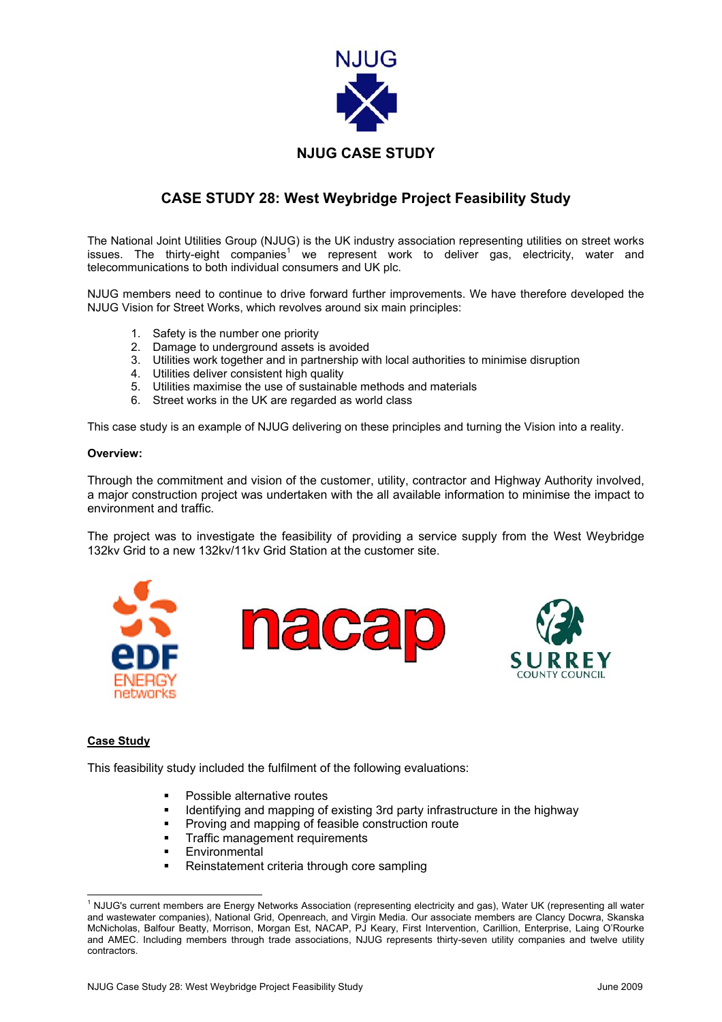

# **CASE STUDY 28: West Weybridge Project Feasibility Study**

The National Joint Utilities Group (NJUG) is the UK industry association representing utilities on street works issues. The thirty-eight companies<sup>[1](#page-0-0)</sup> we represent work to deliver gas, electricity, water and telecommunications to both individual consumers and UK plc.

NJUG members need to continue to drive forward further improvements. We have therefore developed the NJUG Vision for Street Works, which revolves around six main principles:

- 1. Safety is the number one priority
- 2. Damage to underground assets is avoided
- 3. Utilities work together and in partnership with local authorities to minimise disruption
- 4. Utilities deliver consistent high quality
- 5. Utilities maximise the use of sustainable methods and materials
- 6. Street works in the UK are regarded as world class

This case study is an example of NJUG delivering on these principles and turning the Vision into a reality.

## **Overview:**

Through the commitment and vision of the customer, utility, contractor and Highway Authority involved, a major construction project was undertaken with the all available information to minimise the impact to environment and traffic.

The project was to investigate the feasibility of providing a service supply from the West Weybridge 132kv Grid to a new 132kv/11kv Grid Station at the customer site.





#### **Case Study**

This feasibility study included the fulfilment of the following evaluations:

- Possible alternative routes
- **IDED 11** Identifying and mapping of existing 3rd party infrastructure in the highway
- **Proving and mapping of feasible construction route**
- **Traffic management requirements**
- **Environmental**
- Reinstatement criteria through core sampling

<span id="page-0-0"></span> $\frac{1}{1}$ <sup>1</sup> NJUG's current members are Energy Networks Association (representing electricity and gas), Water UK (representing all water and wastewater companies), National Grid, Openreach, and Virgin Media. Our associate members are Clancy Docwra, Skanska McNicholas, Balfour Beatty, Morrison, Morgan Est, NACAP, PJ Keary, First Intervention, Carillion, Enterprise, Laing O'Rourke and AMEC. Including members through trade associations, NJUG represents thirty-seven utility companies and twelve utility contractors.